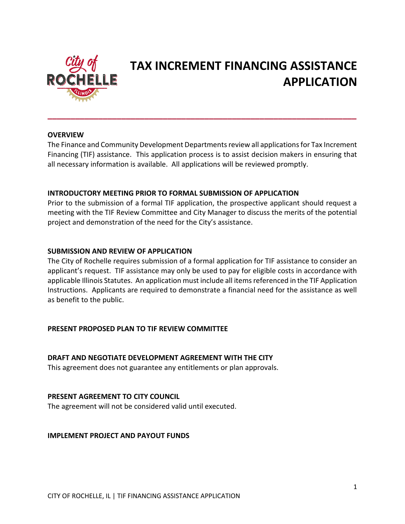

# **TAX INCREMENT FINANCING ASSISTANCE APPLICATION**

# **OVERVIEW**

The Finance and Community Development Departments review all applications for Tax Increment Financing (TIF) assistance. This application process is to assist decision makers in ensuring that all necessary information is available. All applications will be reviewed promptly.

**\_\_\_\_\_\_\_\_\_\_\_\_\_\_\_\_\_\_\_\_\_\_\_\_\_\_\_\_\_\_\_\_\_\_\_\_\_\_\_\_\_\_\_\_\_\_\_\_\_\_\_\_\_\_\_\_\_\_\_\_\_\_\_\_\_\_\_**

# **INTRODUCTORY MEETING PRIOR TO FORMAL SUBMISSION OF APPLICATION**

Prior to the submission of a formal TIF application, the prospective applicant should request a meeting with the TIF Review Committee and City Manager to discuss the merits of the potential project and demonstration of the need for the City's assistance.

# **SUBMISSION AND REVIEW OF APPLICATION**

The City of Rochelle requires submission of a formal application for TIF assistance to consider an applicant's request. TIF assistance may only be used to pay for eligible costs in accordance with applicable Illinois Statutes. An application must include all items referenced in the TIF Application Instructions. Applicants are required to demonstrate a financial need for the assistance as well as benefit to the public.

#### **PRESENT PROPOSED PLAN TO TIF REVIEW COMMITTEE**

#### **DRAFT AND NEGOTIATE DEVELOPMENT AGREEMENT WITH THE CITY**

This agreement does not guarantee any entitlements or plan approvals.

#### **PRESENT AGREEMENT TO CITY COUNCIL**

The agreement will not be considered valid until executed.

#### **IMPLEMENT PROJECT AND PAYOUT FUNDS**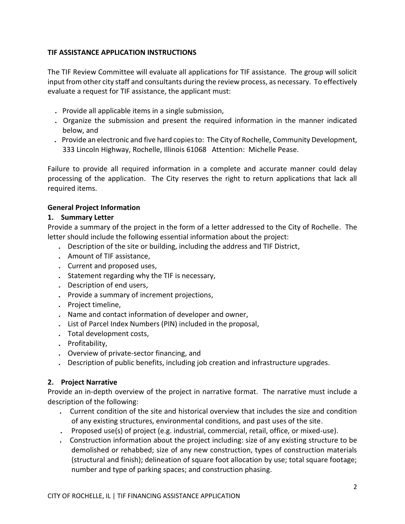# **TIF ASSISTANCE APPLICATION INSTRUCTIONS**

The TIF Review Committee will evaluate all applications for TIF assistance. The group will solicit input from other city staff and consultants during the review process, as necessary. To effectively evaluate a request for TIF assistance, the applicant must:

- **.** Provide all applicable items in a single submission,
- **.** Organize the submission and present the required information in the manner indicated below, and
- **.** Provide an electronic and five hard copies to: The City of Rochelle, Community Development, 333 Lincoln Highway, Rochelle, Illinois 61068 Attention: Michelle Pease.

Failure to provide all required information in a complete and accurate manner could delay processing of the application. The City reserves the right to return applications that lack all required items.

# **General Project Information**

# **1. Summary Letter**

Provide a summary of the project in the form of a letter addressed to the City of Rochelle. The letter should include the following essential information about the project:

- **.** Description of the site or building, including the address and TIF District,
- **.** Amount of TIF assistance,
- **.** Current and proposed uses,
- **.** Statement regarding why the TIF is necessary,
- **.** Description of end users,
- **.** Provide a summary of increment projections,
- **.** Project timeline,
- **.** Name and contact information of developer and owner,
- **.** List of Parcel Index Numbers (PIN) included in the proposal,
- **.** Total development costs,
- **.** Profitability,
- **.** Overview of private-sector financing, and
- **.** Description of public benefits, including job creation and infrastructure upgrades.

# **2. Project Narrative**

Provide an in-depth overview of the project in narrative format. The narrative must include a description of the following:

- **.** Current condition of the site and historical overview that includes the size and condition of any existing structures, environmental conditions, and past uses of the site.
- **.** Proposed use(s) of project (e.g. industrial, commercial, retail, office, or mixed-use).
- **.** Construction information about the project including: size of any existing structure to be demolished or rehabbed; size of any new construction, types of construction materials (structural and finish); delineation of square foot allocation by use; total square footage; number and type of parking spaces; and construction phasing.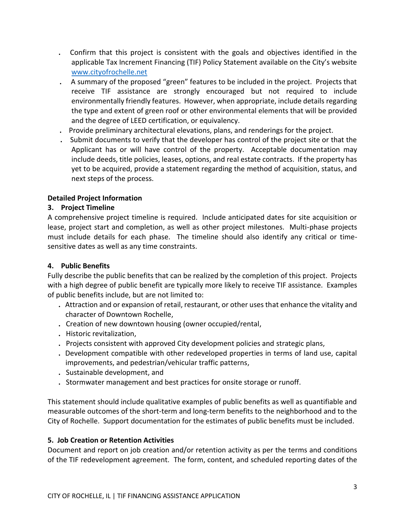- **.** Confirm that this project is consistent with the goals and objectives identified in the applicable Tax Increment Financing (TIF) Policy Statement available on the City's website [www.cityofrochelle.net](http://www.cityofrochelle.net/tifpolicy)
- **.** A summary of the proposed "green" features to be included in the project. Projects that receive TIF assistance are strongly encouraged but not required to include environmentally friendly features. However, when appropriate, include details regarding the type and extent of green roof or other environmental elements that will be provided and the degree of LEED certification, or equivalency.
- **.** Provide preliminary architectural elevations, plans, and renderings for the project.
- **.** Submit documents to verify that the developer has control of the project site or that the Applicant has or will have control of the property. Acceptable documentation may include deeds, title policies, leases, options, and real estate contracts. If the property has yet to be acquired, provide a statement regarding the method of acquisition, status, and next steps of the process.

# **Detailed Project Information**

# **3. Project Timeline**

A comprehensive project timeline is required. Include anticipated dates for site acquisition or lease, project start and completion, as well as other project milestones. Multi-phase projects must include details for each phase. The timeline should also identify any critical or timesensitive dates as well as any time constraints.

# **4. Public Benefits**

Fully describe the public benefits that can be realized by the completion of this project. Projects with a high degree of public benefit are typically more likely to receive TIF assistance. Examples of public benefits include, but are not limited to:

- **.** Attraction and or expansion of retail, restaurant, or other uses that enhance the vitality and character of Downtown Rochelle,
- **.** Creation of new downtown housing (owner occupied/rental,
- **.** Historic revitalization,
- **.** Projects consistent with approved City development policies and strategic plans,
- **.** Development compatible with other redeveloped properties in terms of land use, capital improvements, and pedestrian/vehicular traffic patterns,
- **.** Sustainable development, and
- **.** Stormwater management and best practices for onsite storage or runoff.

This statement should include qualitative examples of public benefits as well as quantifiable and measurable outcomes of the short-term and long-term benefits to the neighborhood and to the City of Rochelle. Support documentation for the estimates of public benefits must be included.

# **5. Job Creation or Retention Activities**

Document and report on job creation and/or retention activity as per the terms and conditions of the TIF redevelopment agreement. The form, content, and scheduled reporting dates of the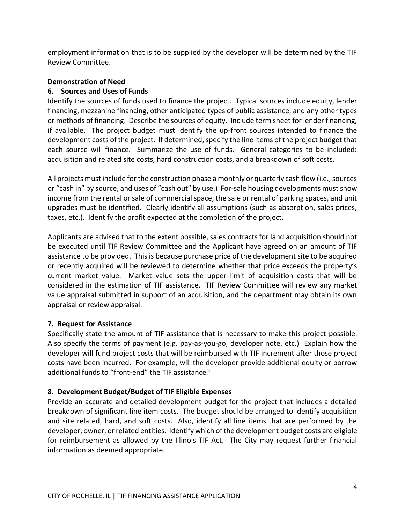employment information that is to be supplied by the developer will be determined by the TIF Review Committee.

# **Demonstration of Need**

# **6. Sources and Uses of Funds**

Identify the sources of funds used to finance the project. Typical sources include equity, lender financing, mezzanine financing, other anticipated types of public assistance, and any other types or methods of financing. Describe the sources of equity. Include term sheet for lender financing, if available. The project budget must identify the up-front sources intended to finance the development costs of the project. If determined, specify the line items of the project budget that each source will finance. Summarize the use of funds. General categories to be included: acquisition and related site costs, hard construction costs, and a breakdown of soft costs.

All projects must include for the construction phase a monthly or quarterly cash flow (i.e., sources or "cash in" by source, and uses of "cash out" by use.) For-sale housing developments must show income from the rental or sale of commercial space, the sale or rental of parking spaces, and unit upgrades must be identified. Clearly identify all assumptions (such as absorption, sales prices, taxes, etc.). Identify the profit expected at the completion of the project.

Applicants are advised that to the extent possible, sales contracts for land acquisition should not be executed until TIF Review Committee and the Applicant have agreed on an amount of TIF assistance to be provided. This is because purchase price of the development site to be acquired or recently acquired will be reviewed to determine whether that price exceeds the property's current market value. Market value sets the upper limit of acquisition costs that will be considered in the estimation of TIF assistance. TIF Review Committee will review any market value appraisal submitted in support of an acquisition, and the department may obtain its own appraisal or review appraisal.

#### **7. Request for Assistance**

Specifically state the amount of TIF assistance that is necessary to make this project possible. Also specify the terms of payment (e.g. pay-as-you-go, developer note, etc.) Explain how the developer will fund project costs that will be reimbursed with TIF increment after those project costs have been incurred. For example, will the developer provide additional equity or borrow additional funds to "front-end" the TIF assistance?

#### **8. Development Budget/Budget of TIF Eligible Expenses**

Provide an accurate and detailed development budget for the project that includes a detailed breakdown of significant line item costs. The budget should be arranged to identify acquisition and site related, hard, and soft costs. Also, identify all line items that are performed by the developer, owner, or related entities. Identify which of the development budget costs are eligible for reimbursement as allowed by the Illinois TIF Act. The City may request further financial information as deemed appropriate.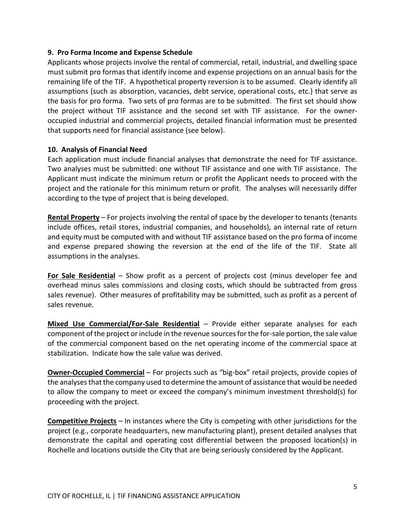#### **9. Pro Forma Income and Expense Schedule**

Applicants whose projects involve the rental of commercial, retail, industrial, and dwelling space must submit pro formas that identify income and expense projections on an annual basis for the remaining life of the TIF. A hypothetical property reversion is to be assumed. Clearly identify all assumptions (such as absorption, vacancies, debt service, operational costs, etc.) that serve as the basis for pro forma. Two sets of pro formas are to be submitted. The first set should show the project without TIF assistance and the second set with TIF assistance. For the owneroccupied industrial and commercial projects, detailed financial information must be presented that supports need for financial assistance (see below).

#### **10. Analysis of Financial Need**

Each application must include financial analyses that demonstrate the need for TIF assistance. Two analyses must be submitted: one without TIF assistance and one with TIF assistance. The Applicant must indicate the minimum return or profit the Applicant needs to proceed with the project and the rationale for this minimum return or profit. The analyses will necessarily differ according to the type of project that is being developed.

**Rental Property** – For projects involving the rental of space by the developer to tenants (tenants include offices, retail stores, industrial companies, and households), an internal rate of return and equity must be computed with and without TIF assistance based on the pro forma of income and expense prepared showing the reversion at the end of the life of the TIF. State all assumptions in the analyses.

**For Sale Residential** – Show profit as a percent of projects cost (minus developer fee and overhead minus sales commissions and closing costs, which should be subtracted from gross sales revenue). Other measures of profitability may be submitted, such as profit as a percent of sales revenue.

**Mixed Use Commercial/For-Sale Residential** – Provide either separate analyses for each component of the project or include in the revenue sources for the for-sale portion, the sale value of the commercial component based on the net operating income of the commercial space at stabilization. Indicate how the sale value was derived.

**Owner-Occupied Commercial** – For projects such as "big-box" retail projects, provide copies of the analyses that the company used to determine the amount of assistance that would be needed to allow the company to meet or exceed the company's minimum investment threshold(s) for proceeding with the project.

**Competitive Projects** – In instances where the City is competing with other jurisdictions for the project (e.g., corporate headquarters, new manufacturing plant), present detailed analyses that demonstrate the capital and operating cost differential between the proposed location(s) in Rochelle and locations outside the City that are being seriously considered by the Applicant.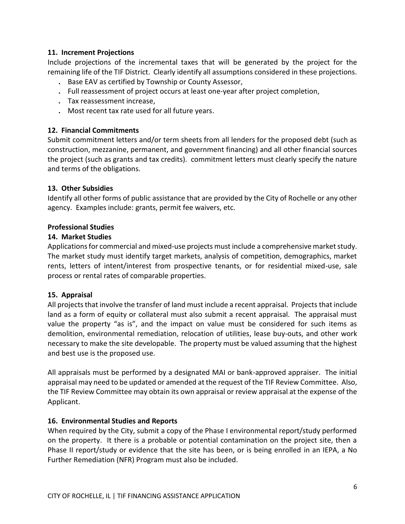#### **11. Increment Projections**

Include projections of the incremental taxes that will be generated by the project for the remaining life of the TIF District. Clearly identify all assumptions considered in these projections.

- **.** Base EAV as certified by Township or County Assessor,
- **.** Full reassessment of project occurs at least one-year after project completion,
- **.** Tax reassessment increase,
- **.** Most recent tax rate used for all future years.

#### **12. Financial Commitments**

Submit commitment letters and/or term sheets from all lenders for the proposed debt (such as construction, mezzanine, permanent, and government financing) and all other financial sources the project (such as grants and tax credits). commitment letters must clearly specify the nature and terms of the obligations.

#### **13. Other Subsidies**

Identify all other forms of public assistance that are provided by the City of Rochelle or any other agency. Examples include: grants, permit fee waivers, etc.

#### **Professional Studies**

# **14. Market Studies**

Applications for commercial and mixed-use projects must include a comprehensive market study. The market study must identify target markets, analysis of competition, demographics, market rents, letters of intent/interest from prospective tenants, or for residential mixed-use, sale process or rental rates of comparable properties.

# **15. Appraisal**

All projects that involve the transfer of land must include a recent appraisal. Projects that include land as a form of equity or collateral must also submit a recent appraisal. The appraisal must value the property "as is", and the impact on value must be considered for such items as demolition, environmental remediation, relocation of utilities, lease buy-outs, and other work necessary to make the site developable. The property must be valued assuming that the highest and best use is the proposed use.

All appraisals must be performed by a designated MAI or bank-approved appraiser. The initial appraisal may need to be updated or amended at the request of the TIF Review Committee. Also, the TIF Review Committee may obtain its own appraisal or review appraisal at the expense of the Applicant.

#### **16. Environmental Studies and Reports**

When required by the City, submit a copy of the Phase I environmental report/study performed on the property. It there is a probable or potential contamination on the project site, then a Phase II report/study or evidence that the site has been, or is being enrolled in an IEPA, a No Further Remediation (NFR) Program must also be included.